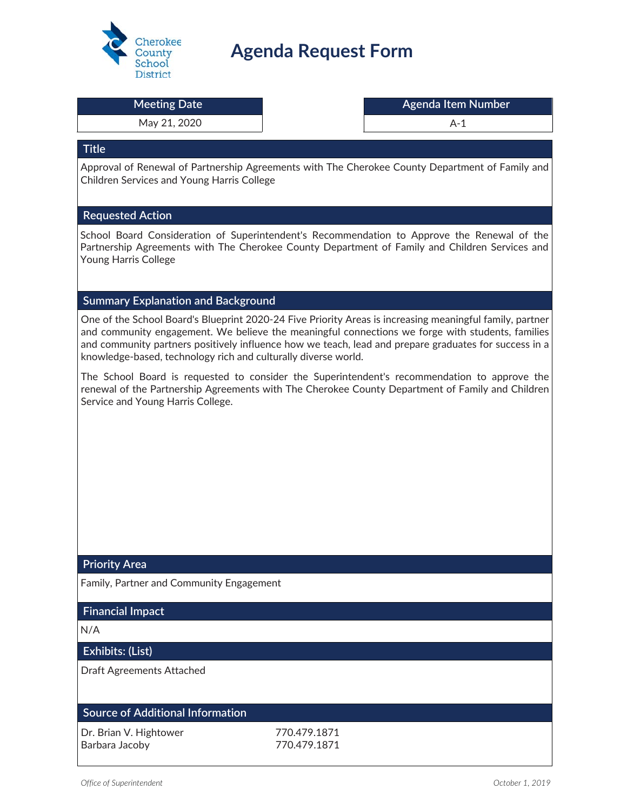

# **Agenda Request Form**

|  | Meeting Date |  |  |
|--|--------------|--|--|
|  |              |  |  |

#### May 21, 2020 and the same of the set of the set of the set of the set of the set of the set of the set of the set of the set of the set of the set of the set of the set of the set of the set of the set of the set of the se

**Meeting Date Agenda Item Number**

#### **Title**

Approval of Renewal of Partnership Agreements with The Cherokee County Department of Family and Children Services and Young Harris College

#### **Requested Action**

School Board Consideration of Superintendent's Recommendation to Approve the Renewal of the Partnership Agreements with The Cherokee County Department of Family and Children Services and Young Harris College

#### **Summary Explanation and Background**

One of the School Board's Blueprint 2020-24 Five Priority Areas is increasing meaningful family, partner and community engagement. We believe the meaningful connections we forge with students, families and community partners positively influence how we teach, lead and prepare graduates for success in a knowledge-based, technology rich and culturally diverse world.

The School Board is requested to consider the Superintendent's recommendation to approve the renewal of the Partnership Agreements with The Cherokee County Department of Family and Children Service and Young Harris College.

#### **Priority Area**

Family, Partner and Community Engagement

#### **Financial Impact**

N/A

#### **Exhibits: (List)**

Draft Agreements Attached

#### **Source of Additional Information**

| Dr. Brian V. Hightower | 770.479.1871 |
|------------------------|--------------|
| Barbara Jacoby         | 770.479.1871 |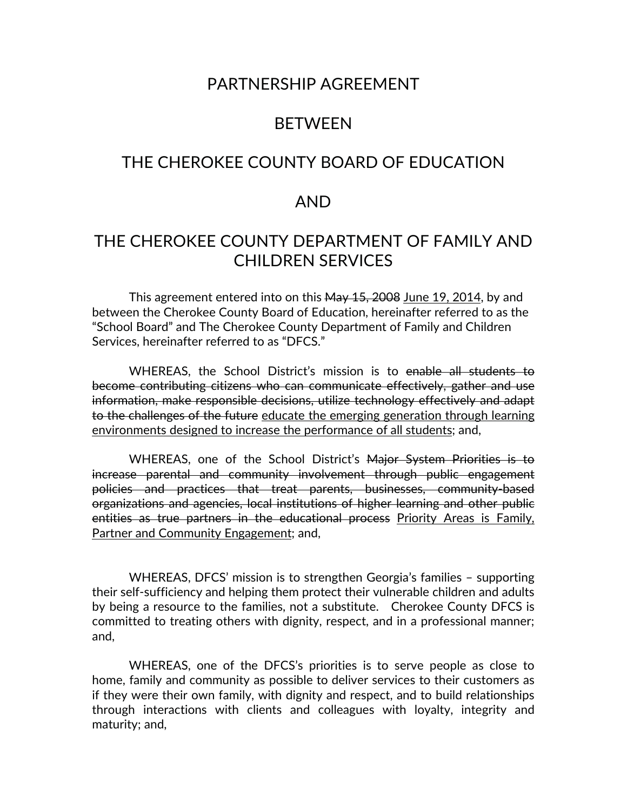## PARTNERSHIP AGREEMENT

## BETWEEN

## THE CHEROKEE COUNTY BOARD OF EDUCATION

### AND

## THE CHEROKEE COUNTY DEPARTMENT OF FAMILY AND CHILDREN SERVICES

This agreement entered into on this May 15, 2008 June 19, 2014, by and between the Cherokee County Board of Education, hereinafter referred to as the "School Board" and The Cherokee County Department of Family and Children Services, hereinafter referred to as "DFCS."

WHEREAS, the School District's mission is to enable all students to become contributing citizens who can communicate effectively, gather and use information, make responsible decisions, utilize technology effectively and adapt to the challenges of the future educate the emerging generation through learning environments designed to increase the performance of all students; and,

WHEREAS, one of the School District's Major System Priorities is to increase parental and community involvement through public engagement policies and practices that treat parents, businesses, community-based organizations and agencies, local institutions of higher learning and other public entities as true partners in the educational process Priority Areas is Family, Partner and Community Engagement; and,

 WHEREAS, DFCS' mission is to strengthen Georgia's families – supporting their self-sufficiency and helping them protect their vulnerable children and adults by being a resource to the families, not a substitute. Cherokee County DFCS is committed to treating others with dignity, respect, and in a professional manner; and,

WHEREAS, one of the DFCS's priorities is to serve people as close to home, family and community as possible to deliver services to their customers as if they were their own family, with dignity and respect, and to build relationships through interactions with clients and colleagues with loyalty, integrity and maturity; and,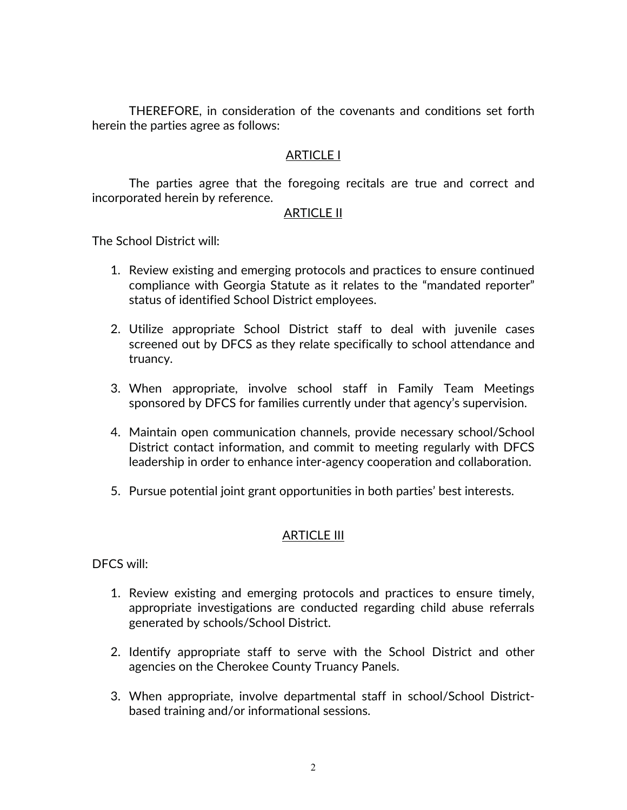THEREFORE, in consideration of the covenants and conditions set forth herein the parties agree as follows:

### ARTICLE I

The parties agree that the foregoing recitals are true and correct and incorporated herein by reference.

### ARTICLE II

The School District will:

- 1. Review existing and emerging protocols and practices to ensure continued compliance with Georgia Statute as it relates to the "mandated reporter" status of identified School District employees.
- 2. Utilize appropriate School District staff to deal with juvenile cases screened out by DFCS as they relate specifically to school attendance and truancy.
- 3. When appropriate, involve school staff in Family Team Meetings sponsored by DFCS for families currently under that agency's supervision.
- 4. Maintain open communication channels, provide necessary school/School District contact information, and commit to meeting regularly with DFCS leadership in order to enhance inter-agency cooperation and collaboration.
- 5. Pursue potential joint grant opportunities in both parties' best interests.

### ARTICLE III

DFCS will:

- 1. Review existing and emerging protocols and practices to ensure timely, appropriate investigations are conducted regarding child abuse referrals generated by schools/School District.
- 2. Identify appropriate staff to serve with the School District and other agencies on the Cherokee County Truancy Panels.
- 3. When appropriate, involve departmental staff in school/School Districtbased training and/or informational sessions.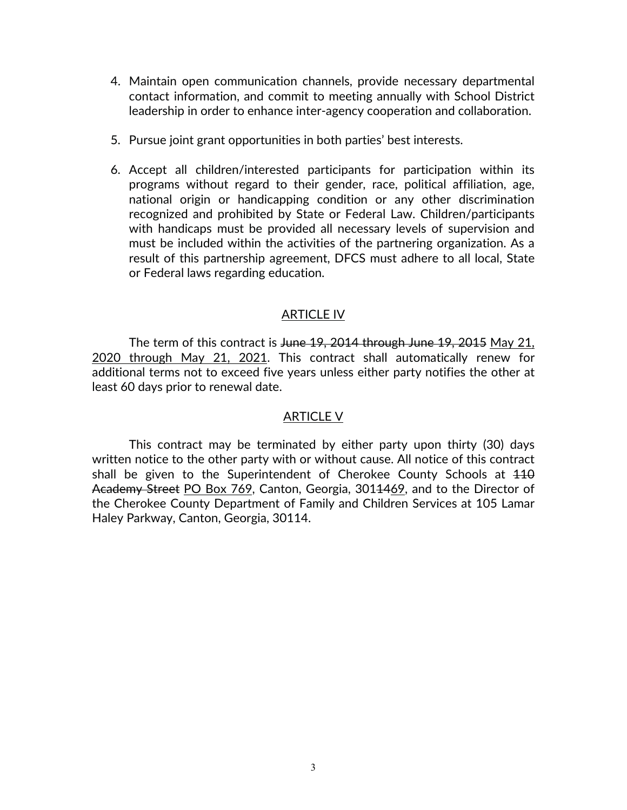- 4. Maintain open communication channels, provide necessary departmental contact information, and commit to meeting annually with School District leadership in order to enhance inter-agency cooperation and collaboration.
- 5. Pursue joint grant opportunities in both parties' best interests.
- 6. Accept all children/interested participants for participation within its programs without regard to their gender, race, political affiliation, age, national origin or handicapping condition or any other discrimination recognized and prohibited by State or Federal Law. Children/participants with handicaps must be provided all necessary levels of supervision and must be included within the activities of the partnering organization. As a result of this partnership agreement, DFCS must adhere to all local, State or Federal laws regarding education.

### ARTICLE IV

The term of this contract is June 19, 2014 through June 19, 2015 May 21, 2020 through May 21, 2021. This contract shall automatically renew for additional terms not to exceed five years unless either party notifies the other at least 60 days prior to renewal date.

### ARTICLE V

 This contract may be terminated by either party upon thirty (30) days written notice to the other party with or without cause. All notice of this contract shall be given to the Superintendent of Cherokee County Schools at 410 Academy Street PO Box 769, Canton, Georgia, 3014469, and to the Director of the Cherokee County Department of Family and Children Services at 105 Lamar Haley Parkway, Canton, Georgia, 30114.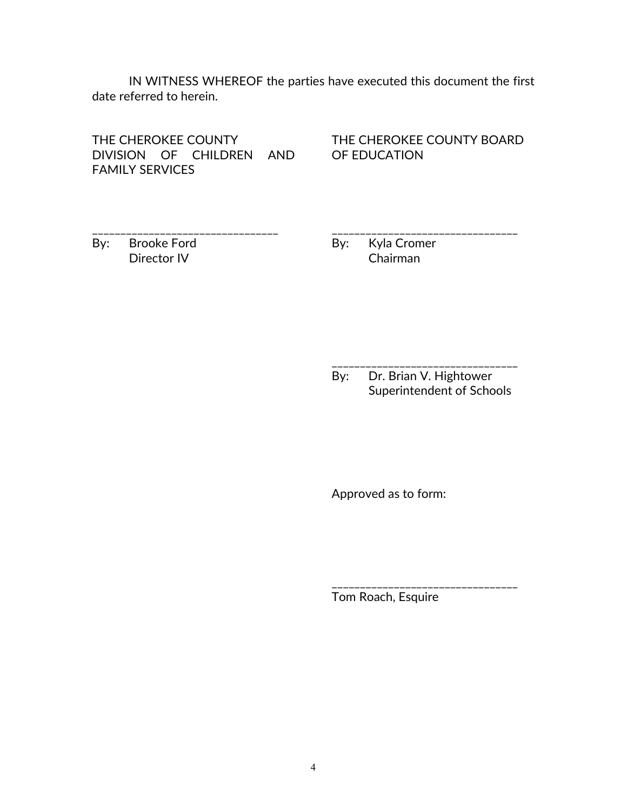IN WITNESS WHEREOF the parties have executed this document the first date referred to herein.

THE CHEROKEE COUNTY DIVISION OF CHILDREN AND FAMILY SERVICES

\_\_\_\_\_\_\_\_\_\_\_\_\_\_\_\_\_\_\_\_\_\_\_\_\_\_\_\_\_\_\_\_\_

THE CHEROKEE COUNTY BOARD OF EDUCATION

\_\_\_\_\_\_\_\_\_\_\_\_\_\_\_\_\_\_\_\_\_\_\_\_\_\_\_\_\_\_\_\_\_

By: Brooke Ford Director IV

By: Kyla Cromer Chairman

By: Dr. Brian V. Hightower Superintendent of Schools

\_\_\_\_\_\_\_\_\_\_\_\_\_\_\_\_\_\_\_\_\_\_\_\_\_\_\_\_\_\_\_\_\_

\_\_\_\_\_\_\_\_\_\_\_\_\_\_\_\_\_\_\_\_\_\_\_\_\_\_\_\_\_\_\_\_\_

Approved as to form:

Tom Roach, Esquire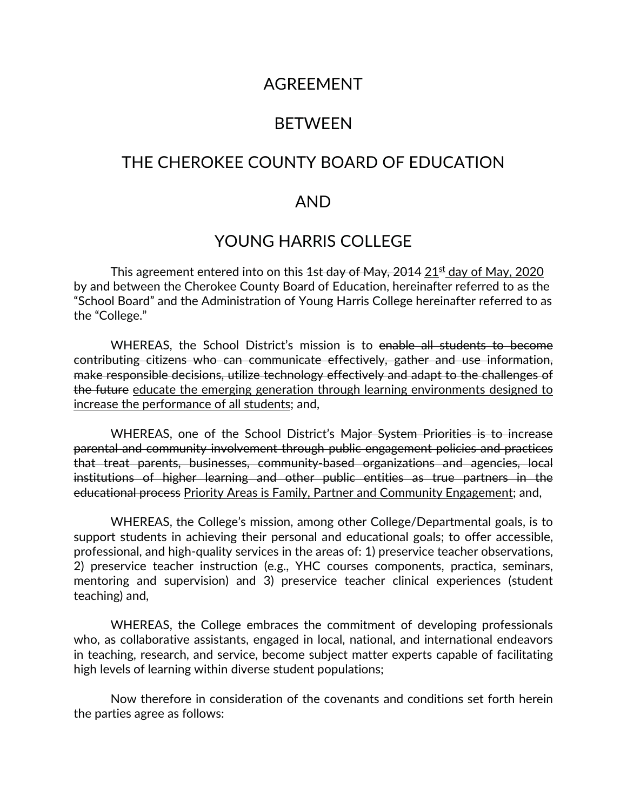## AGREEMENT

## BETWEEN

## THE CHEROKEE COUNTY BOARD OF EDUCATION

### AND

## YOUNG HARRIS COLLEGE

This agreement entered into on this  $4st$  day of May,  $2014$   $21<sup>st</sup>$  day of May, 2020 by and between the Cherokee County Board of Education, hereinafter referred to as the "School Board" and the Administration of Young Harris College hereinafter referred to as the "College."

WHEREAS, the School District's mission is to enable all students to become contributing citizens who can communicate effectively, gather and use information, make responsible decisions, utilize technology effectively and adapt to the challenges of the future educate the emerging generation through learning environments designed to increase the performance of all students; and,

WHEREAS, one of the School District's Major System Priorities is to increase parental and community involvement through public engagement policies and practices that treat parents, businesses, community-based organizations and agencies, local institutions of higher learning and other public entities as true partners in the educational process Priority Areas is Family, Partner and Community Engagement; and,

WHEREAS, the College's mission, among other College/Departmental goals, is to support students in achieving their personal and educational goals; to offer accessible, professional, and high-quality services in the areas of: 1) preservice teacher observations, 2) preservice teacher instruction (e.g., YHC courses components, practica, seminars, mentoring and supervision) and 3) preservice teacher clinical experiences (student teaching) and,

WHEREAS, the College embraces the commitment of developing professionals who, as collaborative assistants, engaged in local, national, and international endeavors in teaching, research, and service, become subject matter experts capable of facilitating high levels of learning within diverse student populations;

Now therefore in consideration of the covenants and conditions set forth herein the parties agree as follows: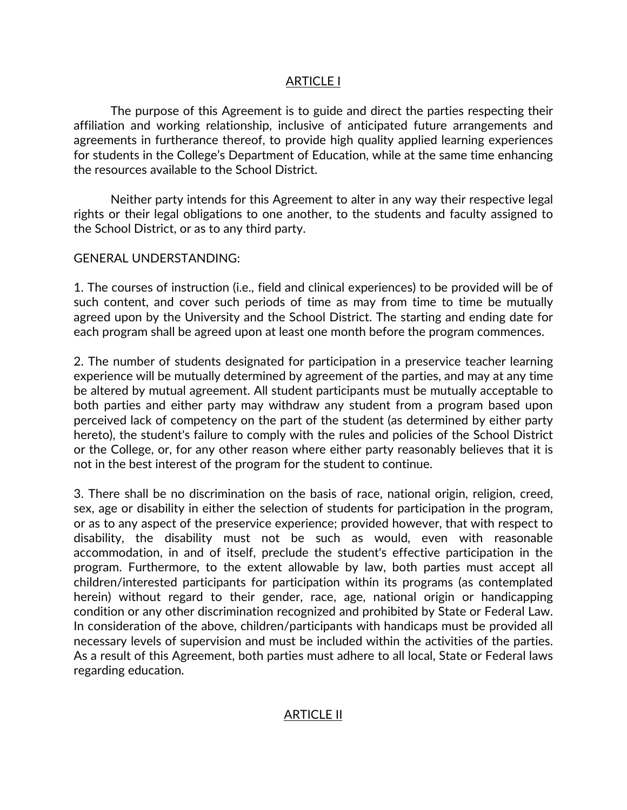### ARTICLE I

The purpose of this Agreement is to guide and direct the parties respecting their affiliation and working relationship, inclusive of anticipated future arrangements and agreements in furtherance thereof, to provide high quality applied learning experiences for students in the College's Department of Education, while at the same time enhancing the resources available to the School District.

Neither party intends for this Agreement to alter in any way their respective legal rights or their legal obligations to one another, to the students and faculty assigned to the School District, or as to any third party.

#### GENERAL UNDERSTANDING:

1. The courses of instruction (i.e., field and clinical experiences) to be provided will be of such content, and cover such periods of time as may from time to time be mutually agreed upon by the University and the School District. The starting and ending date for each program shall be agreed upon at least one month before the program commences.

2. The number of students designated for participation in a preservice teacher learning experience will be mutually determined by agreement of the parties, and may at any time be altered by mutual agreement. All student participants must be mutually acceptable to both parties and either party may withdraw any student from a program based upon perceived lack of competency on the part of the student (as determined by either party hereto), the student's failure to comply with the rules and policies of the School District or the College, or, for any other reason where either party reasonably believes that it is not in the best interest of the program for the student to continue.

3. There shall be no discrimination on the basis of race, national origin, religion, creed, sex, age or disability in either the selection of students for participation in the program, or as to any aspect of the preservice experience; provided however, that with respect to disability, the disability must not be such as would, even with reasonable accommodation, in and of itself, preclude the student's effective participation in the program. Furthermore, to the extent allowable by law, both parties must accept all children/interested participants for participation within its programs (as contemplated herein) without regard to their gender, race, age, national origin or handicapping condition or any other discrimination recognized and prohibited by State or Federal Law. In consideration of the above, children/participants with handicaps must be provided all necessary levels of supervision and must be included within the activities of the parties. As a result of this Agreement, both parties must adhere to all local, State or Federal laws regarding education.

### ARTICLE II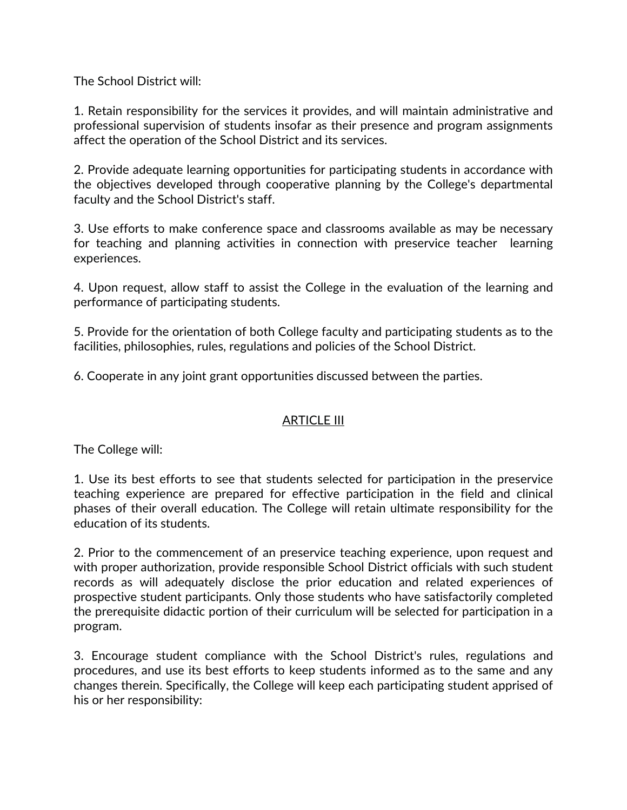The School District will:

1. Retain responsibility for the services it provides, and will maintain administrative and professional supervision of students insofar as their presence and program assignments affect the operation of the School District and its services.

2. Provide adequate learning opportunities for participating students in accordance with the objectives developed through cooperative planning by the College's departmental faculty and the School District's staff.

3. Use efforts to make conference space and classrooms available as may be necessary for teaching and planning activities in connection with preservice teacher learning experiences.

4. Upon request, allow staff to assist the College in the evaluation of the learning and performance of participating students.

5. Provide for the orientation of both College faculty and participating students as to the facilities, philosophies, rules, regulations and policies of the School District.

6. Cooperate in any joint grant opportunities discussed between the parties.

### ARTICLE III

The College will:

1. Use its best efforts to see that students selected for participation in the preservice teaching experience are prepared for effective participation in the field and clinical phases of their overall education. The College will retain ultimate responsibility for the education of its students.

2. Prior to the commencement of an preservice teaching experience, upon request and with proper authorization, provide responsible School District officials with such student records as will adequately disclose the prior education and related experiences of prospective student participants. Only those students who have satisfactorily completed the prerequisite didactic portion of their curriculum will be selected for participation in a program.

3. Encourage student compliance with the School District's rules, regulations and procedures, and use its best efforts to keep students informed as to the same and any changes therein. Specifically, the College will keep each participating student apprised of his or her responsibility: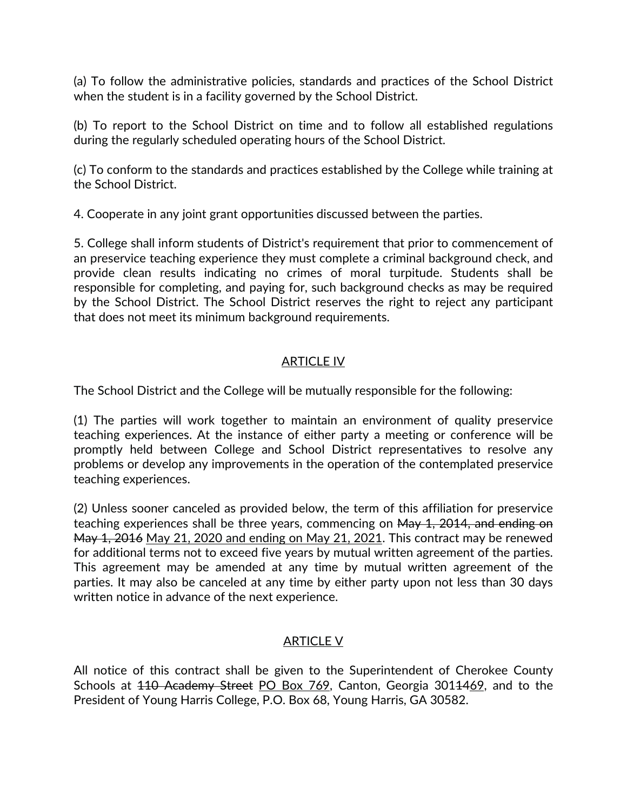(a) To follow the administrative policies, standards and practices of the School District when the student is in a facility governed by the School District.

(b) To report to the School District on time and to follow all established regulations during the regularly scheduled operating hours of the School District.

(c) To conform to the standards and practices established by the College while training at the School District.

4. Cooperate in any joint grant opportunities discussed between the parties.

5. College shall inform students of District's requirement that prior to commencement of an preservice teaching experience they must complete a criminal background check, and provide clean results indicating no crimes of moral turpitude. Students shall be responsible for completing, and paying for, such background checks as may be required by the School District. The School District reserves the right to reject any participant that does not meet its minimum background requirements.

### ARTICLE IV

The School District and the College will be mutually responsible for the following:

(1) The parties will work together to maintain an environment of quality preservice teaching experiences. At the instance of either party a meeting or conference will be promptly held between College and School District representatives to resolve any problems or develop any improvements in the operation of the contemplated preservice teaching experiences.

(2) Unless sooner canceled as provided below, the term of this affiliation for preservice teaching experiences shall be three years, commencing on May 1, 2014, and ending on May 1, 2016 May 21, 2020 and ending on May 21, 2021. This contract may be renewed for additional terms not to exceed five years by mutual written agreement of the parties. This agreement may be amended at any time by mutual written agreement of the parties. It may also be canceled at any time by either party upon not less than 30 days written notice in advance of the next experience.

### ARTICLE V

All notice of this contract shall be given to the Superintendent of Cherokee County Schools at 410 Academy Street PO Box 769, Canton, Georgia 3014469, and to the President of Young Harris College, P.O. Box 68, Young Harris, GA 30582.